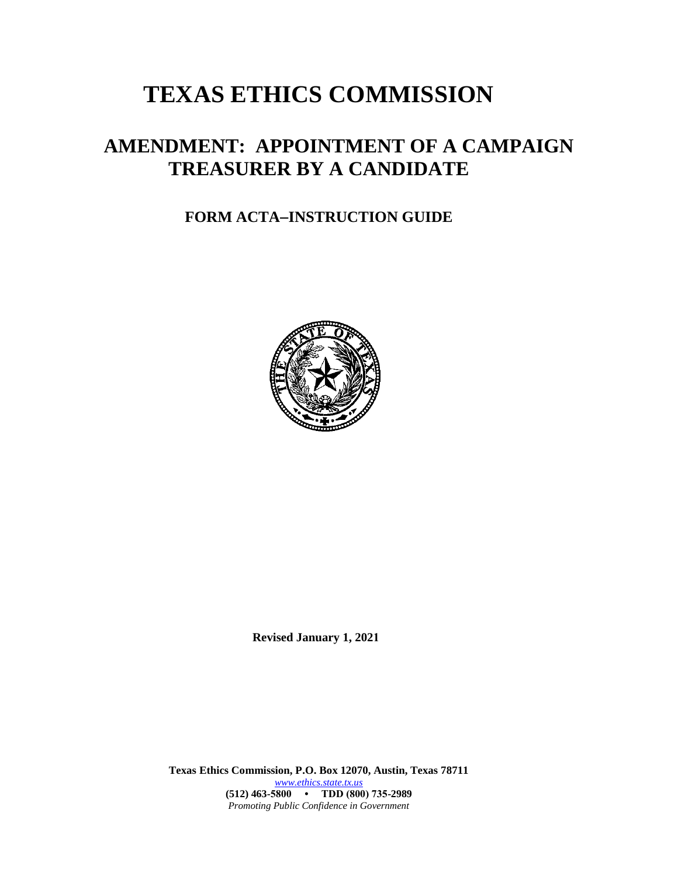# **TEXAS ETHICS COMMISSION**

## **AMENDMENT: APPOINTMENT OF A CAMPAIGN TREASURER BY A CANDIDATE**

## **FORM ACTAINSTRUCTION GUIDE**



**Revised January 1, 2021**

**Texas Ethics Commission, P.O. Box 12070, Austin, Texas 78711** *[www.ethics.state.tx.us](http://www.ethics.state.tx.us/)* **(512) 463-5800 • TDD (800) 735-2989** *Promoting Public Confidence in Government*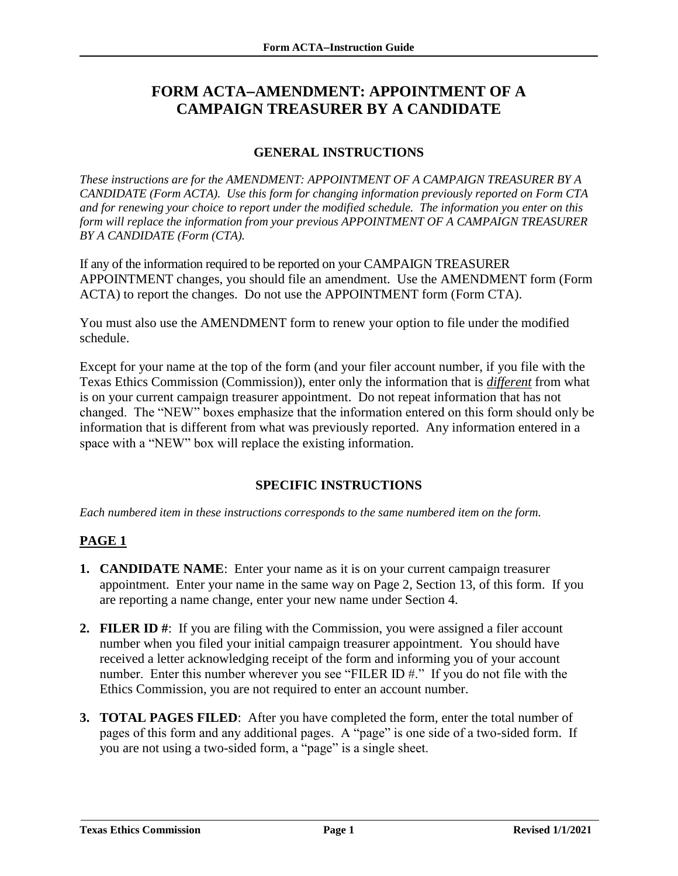### **FORM ACTAAMENDMENT: APPOINTMENT OF A CAMPAIGN TREASURER BY A CANDIDATE**

#### **GENERAL INSTRUCTIONS**

*These instructions are for the AMENDMENT: APPOINTMENT OF A CAMPAIGN TREASURER BY A CANDIDATE (Form ACTA). Use this form for changing information previously reported on Form CTA and for renewing your choice to report under the modified schedule. The information you enter on this form will replace the information from your previous APPOINTMENT OF A CAMPAIGN TREASURER BY A CANDIDATE (Form (CTA).*

If any of the information required to be reported on your CAMPAIGN TREASURER APPOINTMENT changes, you should file an amendment. Use the AMENDMENT form (Form ACTA) to report the changes. Do not use the APPOINTMENT form (Form CTA).

You must also use the AMENDMENT form to renew your option to file under the modified schedule.

Except for your name at the top of the form (and your filer account number, if you file with the Texas Ethics Commission (Commission)), enter only the information that is *different* from what is on your current campaign treasurer appointment. Do not repeat information that has not changed. The "NEW" boxes emphasize that the information entered on this form should only be information that is different from what was previously reported. Any information entered in a space with a "NEW" box will replace the existing information.

#### **SPECIFIC INSTRUCTIONS**

*Each numbered item in these instructions corresponds to the same numbered item on the form.*

#### **PAGE 1**

- **1. CANDIDATE NAME**: Enter your name as it is on your current campaign treasurer appointment. Enter your name in the same way on Page 2, Section 13, of this form. If you are reporting a name change, enter your new name under Section 4.
- **2. FILER ID #**: If you are filing with the Commission, you were assigned a filer account number when you filed your initial campaign treasurer appointment. You should have received a letter acknowledging receipt of the form and informing you of your account number. Enter this number wherever you see "FILER ID #." If you do not file with the Ethics Commission, you are not required to enter an account number.
- **3. TOTAL PAGES FILED**: After you have completed the form, enter the total number of pages of this form and any additional pages. A "page" is one side of a two-sided form. If you are not using a two-sided form, a "page" is a single sheet.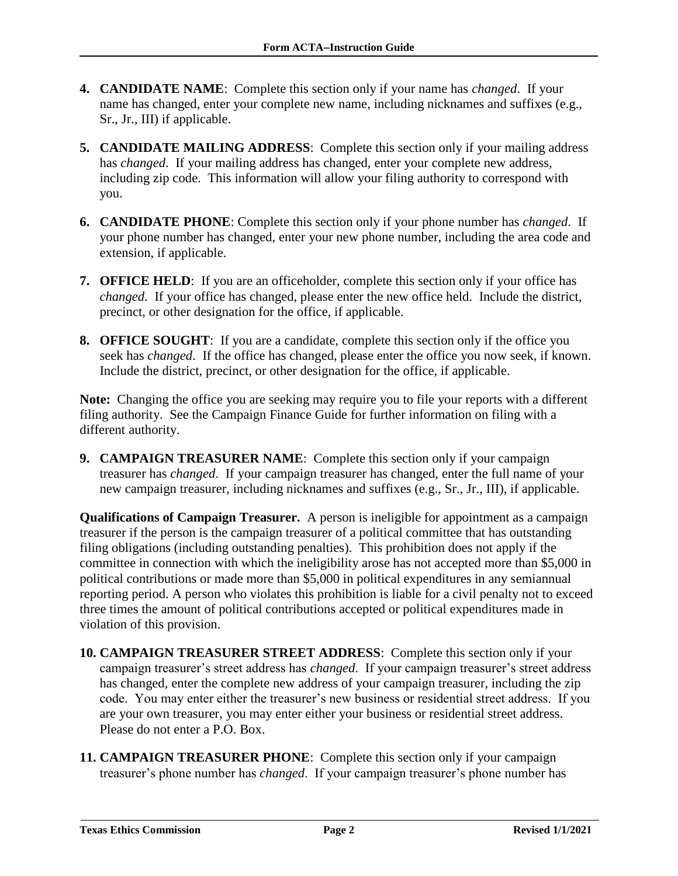- **4. CANDIDATE NAME**: Complete this section only if your name has *changed*. If your name has changed, enter your complete new name, including nicknames and suffixes (e.g., Sr., Jr., III) if applicable.
- **5. CANDIDATE MAILING ADDRESS**: Complete this section only if your mailing address has *changed*. If your mailing address has changed, enter your complete new address, including zip code. This information will allow your filing authority to correspond with you.
- **6. CANDIDATE PHONE**: Complete this section only if your phone number has *changed*. If your phone number has changed, enter your new phone number, including the area code and extension, if applicable.
- **7. OFFICE HELD**: If you are an officeholder, complete this section only if your office has *changed*. If your office has changed, please enter the new office held. Include the district, precinct, or other designation for the office, if applicable.
- **8. OFFICE SOUGHT**: If you are a candidate, complete this section only if the office you seek has *changed*. If the office has changed, please enter the office you now seek, if known. Include the district, precinct, or other designation for the office, if applicable.

**Note:** Changing the office you are seeking may require you to file your reports with a different filing authority. See the Campaign Finance Guide for further information on filing with a different authority.

**9. CAMPAIGN TREASURER NAME**: Complete this section only if your campaign treasurer has *changed*. If your campaign treasurer has changed, enter the full name of your new campaign treasurer, including nicknames and suffixes (e.g., Sr., Jr., III), if applicable.

**Qualifications of Campaign Treasurer.** A person is ineligible for appointment as a campaign treasurer if the person is the campaign treasurer of a political committee that has outstanding filing obligations (including outstanding penalties). This prohibition does not apply if the committee in connection with which the ineligibility arose has not accepted more than \$5,000 in political contributions or made more than \$5,000 in political expenditures in any semiannual reporting period. A person who violates this prohibition is liable for a civil penalty not to exceed three times the amount of political contributions accepted or political expenditures made in violation of this provision.

- **10. CAMPAIGN TREASURER STREET ADDRESS**: Complete this section only if your campaign treasurer's street address has *changed*. If your campaign treasurer's street address has changed, enter the complete new address of your campaign treasurer, including the zip code. You may enter either the treasurer's new business or residential street address. If you are your own treasurer, you may enter either your business or residential street address. Please do not enter a P.O. Box.
- **11. CAMPAIGN TREASURER PHONE**: Complete this section only if your campaign treasurer's phone number has *changed*. If your campaign treasurer's phone number has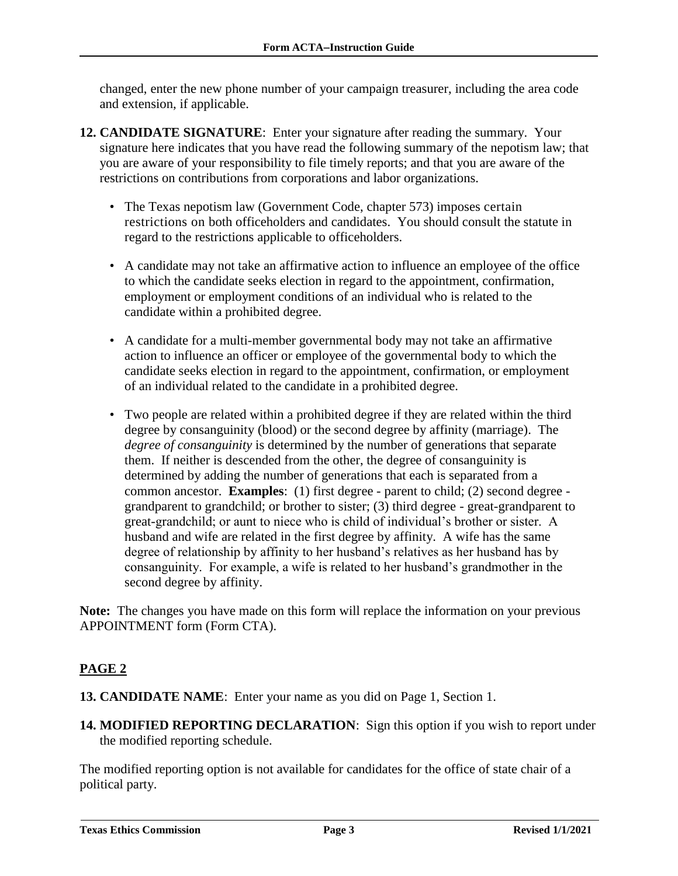changed, enter the new phone number of your campaign treasurer, including the area code and extension, if applicable.

- **12. CANDIDATE SIGNATURE**: Enter your signature after reading the summary. Your signature here indicates that you have read the following summary of the nepotism law; that you are aware of your responsibility to file timely reports; and that you are aware of the restrictions on contributions from corporations and labor organizations.
	- The Texas nepotism law (Government Code, chapter 573) imposes certain restrictions on both officeholders and candidates. You should consult the statute in regard to the restrictions applicable to officeholders.
	- A candidate may not take an affirmative action to influence an employee of the office to which the candidate seeks election in regard to the appointment, confirmation, employment or employment conditions of an individual who is related to the candidate within a prohibited degree.
	- A candidate for a multi-member governmental body may not take an affirmative action to influence an officer or employee of the governmental body to which the candidate seeks election in regard to the appointment, confirmation, or employment of an individual related to the candidate in a prohibited degree.
	- Two people are related within a prohibited degree if they are related within the third degree by consanguinity (blood) or the second degree by affinity (marriage). The *degree of consanguinity* is determined by the number of generations that separate them. If neither is descended from the other, the degree of consanguinity is determined by adding the number of generations that each is separated from a common ancestor. **Examples**: (1) first degree - parent to child; (2) second degree grandparent to grandchild; or brother to sister; (3) third degree - great-grandparent to great-grandchild; or aunt to niece who is child of individual's brother or sister. A husband and wife are related in the first degree by affinity. A wife has the same degree of relationship by affinity to her husband's relatives as her husband has by consanguinity. For example, a wife is related to her husband's grandmother in the second degree by affinity.

**Note:** The changes you have made on this form will replace the information on your previous APPOINTMENT form (Form CTA).

#### **PAGE 2**

- **13. CANDIDATE NAME**: Enter your name as you did on Page 1, Section 1.
- **14. MODIFIED REPORTING DECLARATION**: Sign this option if you wish to report under the modified reporting schedule.

The modified reporting option is not available for candidates for the office of state chair of a political party.